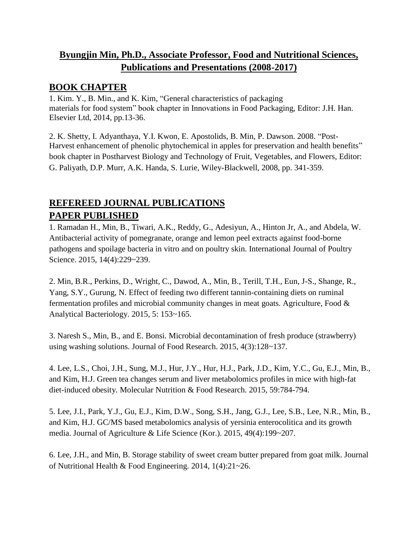## **Byungjin Min, Ph.D., Associate Professor, Food and Nutritional Sciences, Publications and Presentations (2008-2017)**

## **BOOK CHAPTER**

1. Kim. Y., B. Min., and K. Kim, "General characteristics of packaging materials for food system" book chapter in Innovations in Food Packaging, Editor: J.H. Han. Elsevier Ltd, 2014, pp.13-36.

2. K. Shetty, I. Adyanthaya, Y.I. Kwon, E. Apostolids, B. Min, P. Dawson. 2008. "Post-Harvest enhancement of phenolic phytochemical in apples for preservation and health benefits" book chapter in Postharvest Biology and Technology of Fruit, Vegetables, and Flowers, Editor: G. Paliyath, D.P. Murr, A.K. Handa, S. Lurie, Wiley-Blackwell, 2008, pp. 341-359.

## **REFEREED JOURNAL PUBLICATIONS PAPER PUBLISHED**

1. Ramadan H., Min, B., Tiwari, A.K., Reddy, G., Adesiyun, A., Hinton Jr, A., and Abdela, W. Antibacterial activity of pomegranate, orange and lemon peel extracts against food-borne pathogens and spoilage bacteria in vitro and on poultry skin. International Journal of Poultry Science. 2015, 14(4):229~239.

2. Min, B.R., Perkins, D., Wright, C., Dawod, A., Min, B., Terill, T.H., Eun, J-S., Shange, R., Yang, S.Y., Gurung, N. Effect of feeding two different tannin-containing diets on ruminal fermentation profiles and microbial community changes in meat goats. Agriculture, Food & Analytical Bacteriology. 2015, 5: 153~165.

3. Naresh S., Min, B., and E. Bonsi. Microbial decontamination of fresh produce (strawberry) using washing solutions. Journal of Food Research. 2015, 4(3):128~137.

4. Lee, L.S., Choi, J.H., Sung, M.J., Hur, J.Y., Hur, H.J., Park, J.D., Kim, Y.C., Gu, E.J., Min, B., and Kim, H.J. Green tea changes serum and liver metabolomics profiles in mice with high-fat diet-induced obesity. Molecular Nutrition & Food Research. 2015, 59:784-794.

5. Lee, J.I., Park, Y.J., Gu, E.J., Kim, D.W., Song, S.H., Jang, G.J., Lee, S.B., Lee, N.R., Min, B., and Kim, H.J. GC/MS based metabolomics analysis of yersinia enterocolitica and its growth media. Journal of Agriculture & Life Science (Kor.). 2015, 49(4):199~207.

6. Lee, J.H., and Min, B. Storage stability of sweet cream butter prepared from goat milk. Journal of Nutritional Health & Food Engineering. 2014, 1(4):21~26.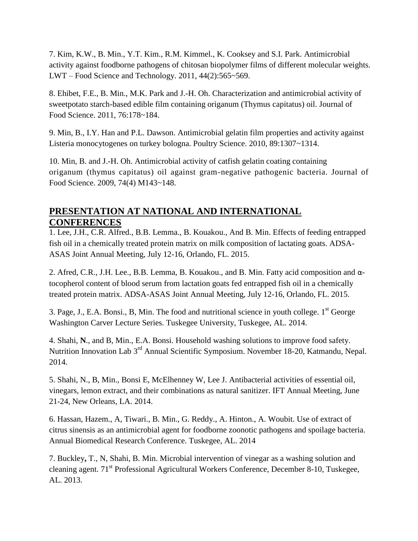7. Kim, K.W., B. Min., Y.T. Kim., R.M. Kimmel., K. Cooksey and S.I. Park. Antimicrobial activity against foodborne pathogens of chitosan biopolymer films of different molecular weights. LWT – Food Science and Technology. 2011, 44(2):565~569.

8. Ehibet, F.E., B. Min., M.K. Park and J.-H. Oh. Characterization and antimicrobial activity of sweetpotato starch-based edible film containing origanum (Thymus capitatus) oil. Journal of Food Science. 2011, 76:178~184.

9. Min, B., I.Y. Han and P.L. Dawson. Antimicrobial gelatin film properties and activity against Listeria monocytogenes on turkey bologna. Poultry Science. 2010, 89:1307~1314.

10. Min, B. and J.-H. Oh. Antimicrobial activity of catfish gelatin coating containing origanum (thymus capitatus) oil against gram-negative pathogenic bacteria. Journal of Food Science. 2009, 74(4) M143~148.

## **PRESENTATION AT NATIONAL AND INTERNATIONAL CONFERENCES**

1. Lee, J.H., C.R. Alfred., B.B. Lemma., B. Kouakou., And B. Min. Effects of feeding entrapped fish oil in a chemically treated protein matrix on milk composition of lactating goats. ADSA-ASAS Joint Annual Meeting, July 12-16, Orlando, FL. 2015.

2. Afred, C.R., J.H. Lee., B.B. Lemma, B. Kouakou., and B. Min. Fatty acid composition and αtocopherol content of blood serum from lactation goats fed entrapped fish oil in a chemically treated protein matrix. ADSA-ASAS Joint Annual Meeting, July 12-16, Orlando, FL. 2015.

3. Page, J., E.A. Bonsi., B, Min. The food and nutritional science in youth college.  $1<sup>st</sup>$  George Washington Carver Lecture Series. Tuskegee University, Tuskegee, AL. 2014.

4. Shahi, **N**., and B, Min., E.A. Bonsi. Household washing solutions to improve food safety. Nutrition Innovation Lab 3rd Annual Scientific Symposium. November 18-20, Katmandu, Nepal. 2014.

5. Shahi, N., B, Min., Bonsi E, McElhenney W, Lee J. Antibacterial activities of essential oil, vinegars, lemon extract, and their combinations as natural sanitizer. IFT Annual Meeting, June 21-24, New Orleans, LA. 2014.

6. Hassan, Hazem., A, Tiwari., B. Min., G. Reddy., A. Hinton., A. Woubit. Use of extract of citrus sinensis as an antimicrobial agent for foodborne zoonotic pathogens and spoilage bacteria. Annual Biomedical Research Conference. Tuskegee, AL. 2014

7. Buckley**,** T., N, Shahi, B. Min. Microbial intervention of vinegar as a washing solution and cleaning agent. 71st Professional Agricultural Workers Conference, December 8-10, Tuskegee, AL. 2013.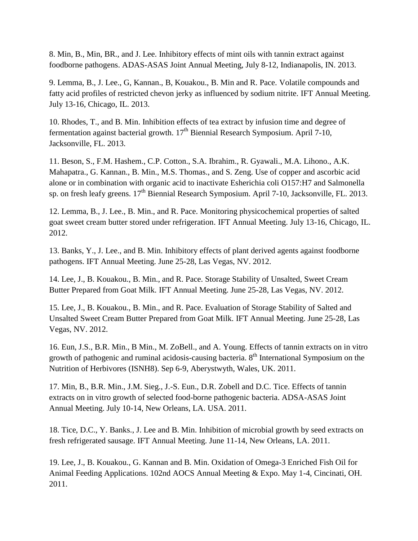8. Min, B., Min, BR., and J. Lee. Inhibitory effects of mint oils with tannin extract against foodborne pathogens. ADAS-ASAS Joint Annual Meeting, July 8-12, Indianapolis, IN. 2013.

9. Lemma, B., J. Lee., G, Kannan., B, Kouakou., B. Min and R. Pace. Volatile compounds and fatty acid profiles of restricted chevon jerky as influenced by sodium nitrite. IFT Annual Meeting. July 13-16, Chicago, IL. 2013.

10. Rhodes, T., and B. Min. Inhibition effects of tea extract by infusion time and degree of fermentation against bacterial growth. 17th Biennial Research Symposium. April 7-10, Jacksonville, FL. 2013.

11. Beson, S., F.M. Hashem., C.P. Cotton., S.A. Ibrahim., R. Gyawali., M.A. Lihono., A.K. Mahapatra., G. Kannan., B. Min., M.S. Thomas., and S. Zeng. Use of copper and ascorbic acid alone or in combination with organic acid to inactivate Esherichia coli O157:H7 and Salmonella sp. on fresh leafy greens. 17<sup>th</sup> Biennial Research Symposium. April 7-10, Jacksonville, FL. 2013.

12. Lemma, B., J. Lee., B. Min., and R. Pace. Monitoring physicochemical properties of salted goat sweet cream butter stored under refrigeration. IFT Annual Meeting. July 13-16, Chicago, IL. 2012.

13. Banks, Y., J. Lee., and B. Min. Inhibitory effects of plant derived agents against foodborne pathogens. IFT Annual Meeting. June 25-28, Las Vegas, NV. 2012.

14. Lee, J., B. Kouakou., B. Min., and R. Pace. Storage Stability of Unsalted, Sweet Cream Butter Prepared from Goat Milk. IFT Annual Meeting. June 25-28, Las Vegas, NV. 2012.

15. Lee, J., B. Kouakou., B. Min., and R. Pace. Evaluation of Storage Stability of Salted and Unsalted Sweet Cream Butter Prepared from Goat Milk. IFT Annual Meeting. June 25-28, Las Vegas, NV. 2012.

16. Eun, J.S., B.R. Min., B Min., M. ZoBell., and A. Young. Effects of tannin extracts on in vitro growth of pathogenic and ruminal acidosis-causing bacteria.  $8<sup>th</sup>$  International Symposium on the Nutrition of Herbivores (ISNH8). Sep 6-9, Aberystwyth, Wales, UK. 2011.

17. Min, B., B.R. Min., J.M. Sieg., J.-S. Eun., D.R. Zobell and D.C. Tice. Effects of tannin extracts on in vitro growth of selected food-borne pathogenic bacteria. ADSA-ASAS Joint Annual Meeting. July 10-14, New Orleans, LA. USA. 2011.

18. Tice, D.C., Y. Banks., J. Lee and B. Min. Inhibition of microbial growth by seed extracts on fresh refrigerated sausage. IFT Annual Meeting. June 11-14, New Orleans, LA. 2011.

19. Lee, J., B. Kouakou., G. Kannan and B. Min. Oxidation of Omega-3 Enriched Fish Oil for Animal Feeding Applications. 102nd AOCS Annual Meeting & Expo. May 1-4, Cincinati, OH. 2011.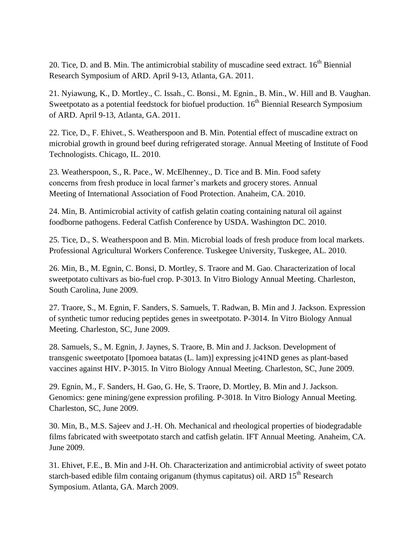20. Tice, D. and B. Min. The antimicrobial stability of muscadine seed extract.  $16<sup>th</sup>$  Biennial Research Symposium of ARD. April 9-13, Atlanta, GA. 2011.

21. Nyiawung, K., D. Mortley., C. Issah., C. Bonsi., M. Egnin., B. Min., W. Hill and B. Vaughan. Sweetpotato as a potential feedstock for biofuel production. 16<sup>th</sup> Biennial Research Symposium of ARD. April 9-13, Atlanta, GA. 2011.

22. Tice, D., F. Ehivet., S. Weatherspoon and B. Min. Potential effect of muscadine extract on microbial growth in ground beef during refrigerated storage. Annual Meeting of Institute of Food Technologists. Chicago, IL. 2010.

23. Weatherspoon, S., R. Pace., W. McElhenney., D. Tice and B. Min. Food safety concerns from fresh produce in local farmer's markets and grocery stores. Annual Meeting of International Association of Food Protection. Anaheim, CA. 2010.

24. Min, B. Antimicrobial activity of catfish gelatin coating containing natural oil against foodborne pathogens. Federal Catfish Conference by USDA. Washington DC. 2010.

25. Tice, D., S. Weatherspoon and B. Min. Microbial loads of fresh produce from local markets. Professional Agricultural Workers Conference. Tuskegee University, Tuskegee, AL. 2010.

26. Min, B., M. Egnin, C. Bonsi, D. Mortley, S. Traore and M. Gao. Characterization of local sweetpotato cultivars as bio-fuel crop. P-3013. In Vitro Biology Annual Meeting. Charleston, South Carolina, June 2009.

27. Traore, S., M. Egnin, F. Sanders, S. Samuels, T. Radwan, B. Min and J. Jackson. Expression of synthetic tumor reducing peptides genes in sweetpotato. P-3014. In Vitro Biology Annual Meeting. Charleston, SC, June 2009.

28. Samuels, S., M. Egnin, J. Jaynes, S. Traore, B. Min and J. Jackson. Development of transgenic sweetpotato [Ipomoea batatas (L. lam)] expressing jc41ND genes as plant-based vaccines against HIV. P-3015. In Vitro Biology Annual Meeting. Charleston, SC, June 2009.

29. Egnin, M., F. Sanders, H. Gao, G. He, S. Traore, D. Mortley, B. Min and J. Jackson. Genomics: gene mining/gene expression profiling. P-3018. In Vitro Biology Annual Meeting. Charleston, SC, June 2009.

30. Min, B., M.S. Sajeev and J.-H. Oh. Mechanical and rheological properties of biodegradable films fabricated with sweetpotato starch and catfish gelatin. IFT Annual Meeting. Anaheim, CA. June 2009.

31. Ehivet, F.E., B. Min and J-H. Oh. Characterization and antimicrobial activity of sweet potato starch-based edible film containg origanum (thymus capitatus) oil. ARD  $15<sup>th</sup>$  Research Symposium. Atlanta, GA. March 2009.